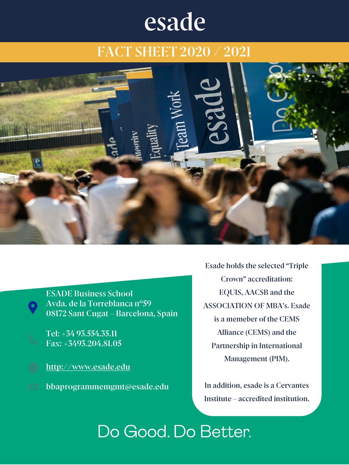# esade

## **FACT SHEET 2020 / 2021**



**ESADE Business School Avda. de la Torreblanca nº59 08172 Sant Cugat – Barcelona, Spain**

**Tel: +34 93.554.35.11 Fax: +3493.204.81.05**

**[http://www.esade.edu](http://www.esade.edu/)**

**bbaprogrammemgmt@esade.edu**

**Esade holds the selected "Triple Crown" accreditation: EQUIS, AACSB and the ASSOCIATION OF MBA's. Esade is a memeber of the CEMS Alliance (CEMS) and the Partnership in International Management (PIM).** 

**In addition, esade is a Cervantes Institute – accredited institution.**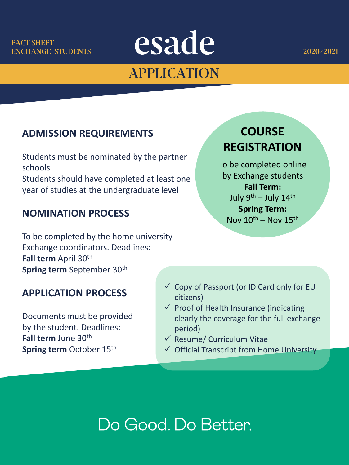

## **APPLICATION**

## **ADMISSION REQUIREMENTS**

Students must be nominated by the partner schools.

Students should have completed at least one year of studies at the undergraduate level

## **NOMINATION PROCESS**

To be completed by the home university Exchange coordinators. Deadlines: **Fall term** April 30th **Spring term** September 30<sup>th</sup>

## **APPLICATION PROCESS**

Documents must be provided by the student. Deadlines: **Fall term** June 30th **Spring term** October 15<sup>th</sup>

## **COURSE REGISTRATION**

To be completed online by Exchange students **Fall Term:** July 9th – July 14th **Spring Term:** Nov  $10^{th}$  – Nov  $15^{th}$ 

- Copy of Passport (or ID Card only for EU citizens)
- $\checkmark$  Proof of Health Insurance (indicating clearly the coverage for the full exchange period)
- $\checkmark$  Resume/ Curriculum Vitae
- $\checkmark$  Official Transcript from Home University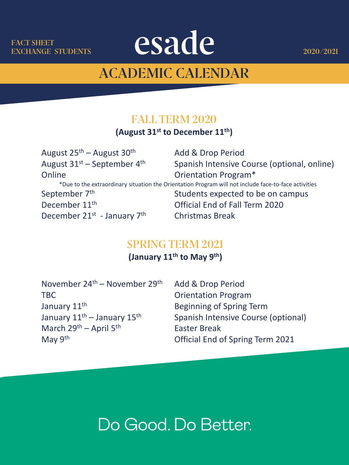

## **ACADEMIC CALENDAR**

## **FALL TERM 2020**

### **(August 31st to December 11th)**

| August $25^{th}$ – August $30^{th}$                                                                  | <b>Add &amp; Drop Period</b>                |
|------------------------------------------------------------------------------------------------------|---------------------------------------------|
| August 31 <sup>st</sup> – September 4 <sup>th</sup>                                                  | Spanish Intensive Course (optional, online) |
| Online                                                                                               | <b>Orientation Program*</b>                 |
| *Due to the extraordinary situation the Orientation Program will not include face-to-face activities |                                             |
| September 7th                                                                                        | Students expected to be on campus           |
| December 11 <sup>th</sup>                                                                            | <b>Official End of Fall Term 2020</b>       |
| December 21 <sup>st</sup> - January 7 <sup>th</sup>                                                  | <b>Christmas Break</b>                      |

## **SPRING TERM 2021**

### **(January 11th to May 9th)**

November 24th – November 29th Add & Drop Period TBC **TBC CONSERVING TBC CONSERVING CONSERVANCE OPTICALLY OPTICALLY ATTACK CONSERVANCE OPTICALLY AND A STATE OF A STATE OF A STATE OF A STATE OF A STATE OF A STATE OF A STATE OF A STATE OF A STATE OF A STATE OF A STATE** January 11<sup>th</sup> Beginning of Spring Term March  $29^{th}$  – April  $5^{th}$  exter Break

January  $11<sup>th</sup>$  – January  $15<sup>th</sup>$  Spanish Intensive Course (optional) May 9<sup>th</sup> **Official End of Spring Term 2021**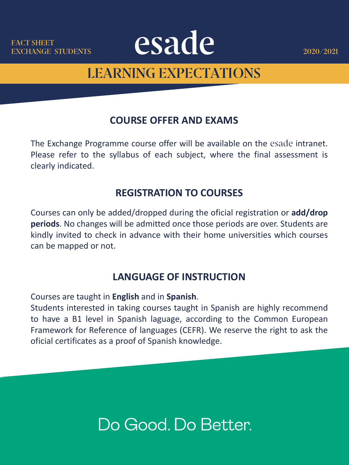

## **LEARNING EXPECTATIONS**

## **COURSE OFFER AND EXAMS**

The Exchange Programme course offer will be available on the esade intranet. Please refer to the syllabus of each subject, where the final assessment is clearly indicated.

## **REGISTRATION TO COURSES**

Courses can only be added/dropped during the oficial registration or **add/drop periods**. No changes will be admitted once those periods are over. Students are kindly invited to check in advance with their home universities which courses can be mapped or not.

## **LANGUAGE OF INSTRUCTION**

Courses are taught in **English** and in **Spanish**.

Students interested in taking courses taught in Spanish are highly recommend to have a B1 level in Spanish laguage, according to the Common European Framework for Reference of languages (CEFR). We reserve the right to ask the oficial certificates as a proof of Spanish knowledge.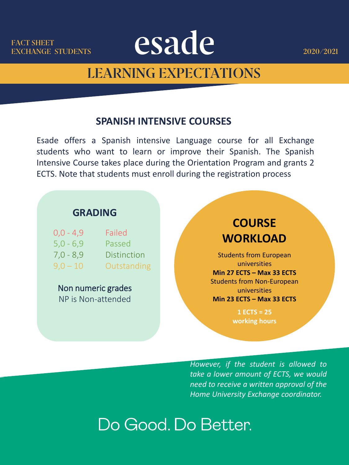

## **LEARNING EXPECTATIONS**

### **SPANISH INTENSIVE COURSES**

Esade offers a Spanish intensive Language course for all Exchange students who want to learn or improve their Spanish. The Spanish Intensive Course takes place during the Orientation Program and grants 2 ECTS. Note that students must enroll during the registration process

### **GRADING**

| $0,0 - 4,9$ | Failed             |
|-------------|--------------------|
| $5,0 - 6,9$ | Passed             |
| $7,0 - 8,9$ | <b>Distinction</b> |
| $9,0 - 10$  | Outstanding        |

Non numeric grades NP is Non-attended

## **COURSE WORKLOAD**

Students from European universities **Min 27 ECTS – Max 33 ECTS** Students from Non-European universities **Min 23 ECTS – Max 33 ECTS**

> **1 ECTS = 25 working hours**

*However, if the student is allowed to take a lower amount of ECTS, we would need to receive a written approval of the Home University Exchange coordinator.*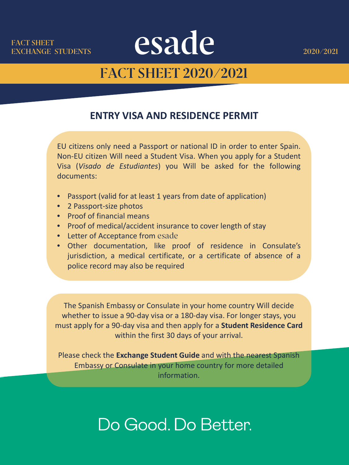

## **FACT SHEET 2020/2021**

### **ENTRY VISA AND RESIDENCE PERMIT**

EU citizens only need a Passport or national ID in order to enter Spain. Non-EU citizen Will need a Student Visa. When you apply for a Student Visa (*Visado de Estudiantes*) you Will be asked for the following documents:

- Passport (valid for at least 1 years from date of application)
- 2 Passport-size photos
- Proof of financial means
- Proof of medical/accident insurance to cover length of stay
- Letter of Acceptance from esade
- Other documentation, like proof of residence in Consulate's jurisdiction, a medical certificate, or a certificate of absence of a police record may also be required

whether to issue a 90-day visa or a 180-day visa. For longer stays, you **working hours** The Spanish Embassy or Consulate in your home country Will decide must apply for a 90-day visa and then apply for a **Student Residence Card**  within the first 30 days of your arrival.

Please check the **Exchange Student Guide** and with the nearest Spanish Embassy or Consulate in your home country for more detailed information.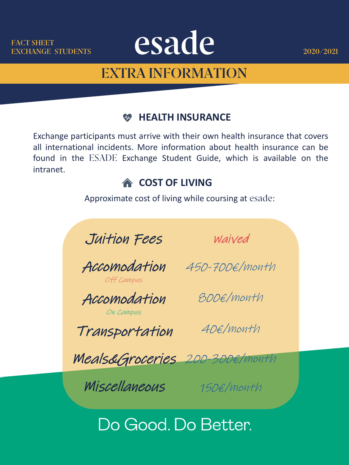

## **EXTRA INFORMATION**

#### **HEALTH INSURANCE** W

Exchange participants must arrive with their own health insurance that covers all international incidents. More information about health insurance can be found in the ESADE Exchange Student Guide, which is available on the intranet.

## **A COST OF LIVING**

Approximate cost of living while coursing at esade:



Waived



Accomodation 800€/month On Campus

Transportation

**working hours** 40€/month

Meals&Groceries 200-300€/month

Miscellaneous

150€/month